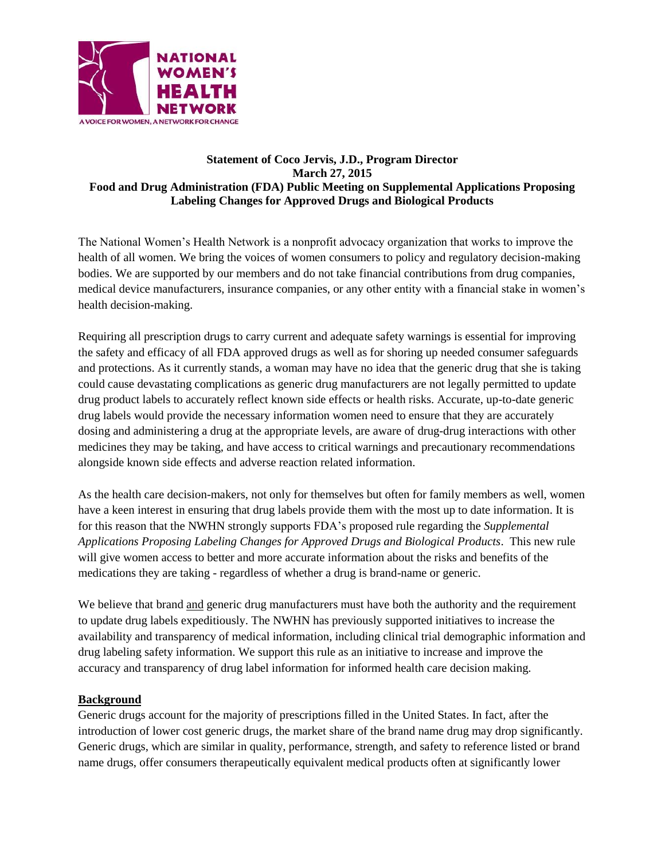

## **Statement of Coco Jervis, J.D., Program Director March 27, 2015 Food and Drug Administration (FDA) Public Meeting on Supplemental Applications Proposing Labeling Changes for Approved Drugs and Biological Products**

The National Women's Health Network is a nonprofit advocacy organization that works to improve the health of all women. We bring the voices of women consumers to policy and regulatory decision-making bodies. We are supported by our members and do not take financial contributions from drug companies, medical device manufacturers, insurance companies, or any other entity with a financial stake in women's health decision-making.

Requiring all prescription drugs to carry current and adequate safety warnings is essential for improving the safety and efficacy of all FDA approved drugs as well as for shoring up needed consumer safeguards and protections. As it currently stands, a woman may have no idea that the generic drug that she is taking could cause devastating complications as generic drug manufacturers are not legally permitted to update drug product labels to accurately reflect known side effects or health risks. Accurate, up-to-date generic drug labels would provide the necessary information women need to ensure that they are accurately dosing and administering a drug at the appropriate levels, are aware of drug-drug interactions with other medicines they may be taking, and have access to critical warnings and precautionary recommendations alongside known side effects and adverse reaction related information.

As the health care decision-makers, not only for themselves but often for family members as well, women have a keen interest in ensuring that drug labels provide them with the most up to date information. It is for this reason that the NWHN strongly supports FDA's proposed rule regarding the *Supplemental Applications Proposing Labeling Changes for Approved Drugs and Biological Products*. This new rule will give women access to better and more accurate information about the risks and benefits of the medications they are taking - regardless of whether a drug is brand-name or generic.

We believe that brand and generic drug manufacturers must have both the authority and the requirement to update drug labels expeditiously. The NWHN has previously supported initiatives to increase the availability and transparency of medical information, including clinical trial demographic information and drug labeling safety information. We support this rule as an initiative to increase and improve the accuracy and transparency of drug label information for informed health care decision making.

## **Background**

Generic drugs account for the majority of prescriptions filled in the United States. In fact, after the introduction of lower cost generic drugs, the market share of the brand name drug may drop significantly. Generic drugs, which are similar in quality, performance, strength, and safety to reference listed or brand name drugs, offer consumers therapeutically equivalent medical products often at significantly lower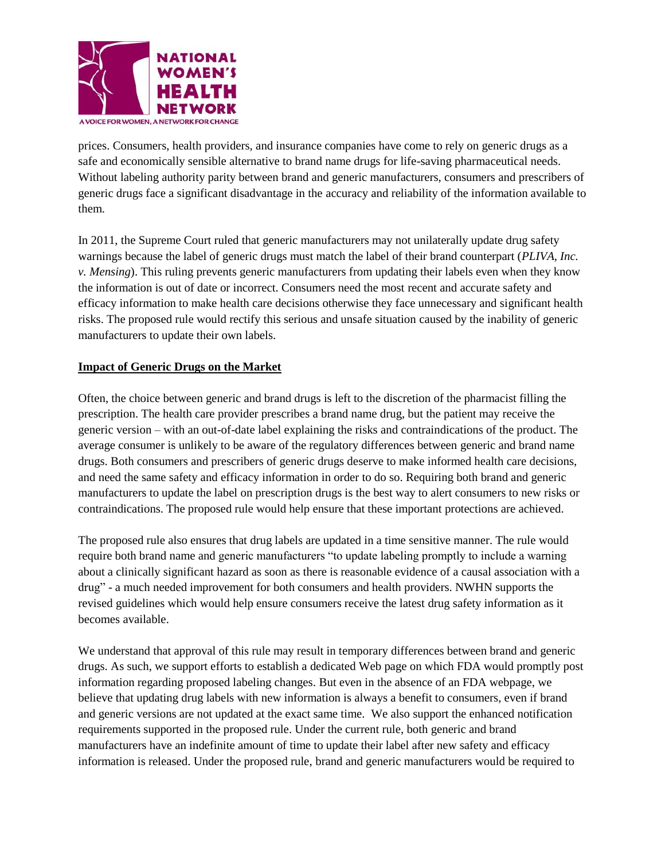

prices. Consumers, health providers, and insurance companies have come to rely on generic drugs as a safe and economically sensible alternative to brand name drugs for life-saving pharmaceutical needs. Without labeling authority parity between brand and generic manufacturers, consumers and prescribers of generic drugs face a significant disadvantage in the accuracy and reliability of the information available to them.

In 2011, the Supreme Court ruled that generic manufacturers may not unilaterally update drug safety warnings because the label of generic drugs must match the label of their brand counterpart (*PLIVA, Inc. v. Mensing*). This ruling prevents generic manufacturers from updating their labels even when they know the information is out of date or incorrect. Consumers need the most recent and accurate safety and efficacy information to make health care decisions otherwise they face unnecessary and significant health risks. The proposed rule would rectify this serious and unsafe situation caused by the inability of generic manufacturers to update their own labels.

## **Impact of Generic Drugs on the Market**

Often, the choice between generic and brand drugs is left to the discretion of the pharmacist filling the prescription. The health care provider prescribes a brand name drug, but the patient may receive the generic version – with an out-of-date label explaining the risks and contraindications of the product. The average consumer is unlikely to be aware of the regulatory differences between generic and brand name drugs. Both consumers and prescribers of generic drugs deserve to make informed health care decisions, and need the same safety and efficacy information in order to do so. Requiring both brand and generic manufacturers to update the label on prescription drugs is the best way to alert consumers to new risks or contraindications. The proposed rule would help ensure that these important protections are achieved.

The proposed rule also ensures that drug labels are updated in a time sensitive manner. The rule would require both brand name and generic manufacturers "to update labeling promptly to include a warning about a clinically significant hazard as soon as there is reasonable evidence of a causal association with a drug" - a much needed improvement for both consumers and health providers. NWHN supports the revised guidelines which would help ensure consumers receive the latest drug safety information as it becomes available.

We understand that approval of this rule may result in temporary differences between brand and generic drugs. As such, we support efforts to establish a dedicated Web page on which FDA would promptly post information regarding proposed labeling changes. But even in the absence of an FDA webpage, we believe that updating drug labels with new information is always a benefit to consumers, even if brand and generic versions are not updated at the exact same time. We also support the enhanced notification requirements supported in the proposed rule. Under the current rule, both generic and brand manufacturers have an indefinite amount of time to update their label after new safety and efficacy information is released. Under the proposed rule, brand and generic manufacturers would be required to